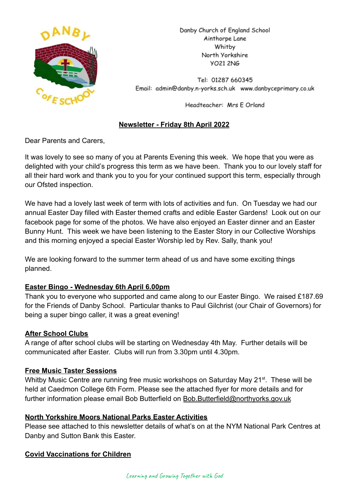

Danby Church of England School Ainthorpe Lane Whitby North Yorkshire **VO21 2NG** 

Tel: 01287 660345 Email: admin@danby.n-yorks.sch.uk www.danbyceprimary.co.uk

Headteacher: Mrs E Orland

# **Newsletter - Friday 8th April 2022**

Dear Parents and Carers,

It was lovely to see so many of you at Parents Evening this week. We hope that you were as delighted with your child's progress this term as we have been. Thank you to our lovely staff for all their hard work and thank you to you for your continued support this term, especially through our Ofsted inspection.

We have had a lovely last week of term with lots of activities and fun. On Tuesday we had our annual Easter Day filled with Easter themed crafts and edible Easter Gardens! Look out on our facebook page for some of the photos. We have also enjoyed an Easter dinner and an Easter Bunny Hunt. This week we have been listening to the Easter Story in our Collective Worships and this morning enjoyed a special Easter Worship led by Rev. Sally, thank you!

We are looking forward to the summer term ahead of us and have some exciting things planned.

# **Easter Bingo - Wednesday 6th April 6.00pm**

Thank you to everyone who supported and came along to our Easter Bingo. We raised £187.69 for the Friends of Danby School. Particular thanks to Paul Gilchrist (our Chair of Governors) for being a super bingo caller, it was a great evening!

#### **After School Clubs**

A range of after school clubs will be starting on Wednesday 4th May. Further details will be communicated after Easter. Clubs will run from 3.30pm until 4.30pm.

#### **Free Music Taster Sessions**

Whitby Music Centre are running free music workshops on Saturday May 21<sup>st</sup>. These will be held at Caedmon College 6th Form. Please see the attached flyer for more details and for further information please email Bob Butterfield on [Bob.Butterfield@northyorks.gov.uk](mailto:Bob.Butterfield@northyorks.gov.uk)

#### **North Yorkshire Moors National Parks Easter Activities**

Please see attached to this newsletter details of what's on at the NYM National Park Centres at Danby and Sutton Bank this Easter.

# **Covid Vaccinations for Children**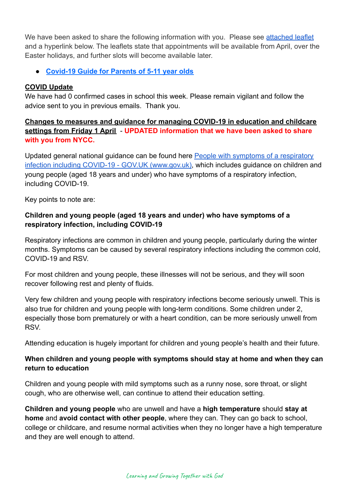We have been asked to share the following information with you. Please see [attached leaflet](https://r1.ddlnk.net/4BPJ-1A9F0-34L1BO-149252-1/c.aspx) and a hyperlink below. The leaflets state that appointments will be available from April, over the Easter holidays, and further slots will become available later.

● **[Covid-19 Guide for Parents of 5-11 year olds](https://r1.ddlnk.net/4BPJ-1A9F0-34L1BO-149253-1/c.aspx)**

# **COVID Update**

We have had 0 confirmed cases in school this week. Please remain vigilant and follow the advice sent to you in previous emails. Thank you.

**Changes to measures and guidance for managing COVID-19 in education and childcare settings from Friday 1 April** - **UPDATED information that we have been asked to share with you from NYCC.**

Updated general national guidance can be found here People with symptoms of a respiratory infection including COVID-19 - GOV.UK (www.gov.uk), which includes guidance on children and young people (aged 18 years and under) who have symptoms of a respiratory infection, including COVID-19.

Key points to note are:

# **Children and young people (aged 18 years and under) who have symptoms of a respiratory infection, including COVID-19**

Respiratory infections are common in children and young people, particularly during the winter months. Symptoms can be caused by several respiratory infections including the common cold, COVID-19 and RSV.

For most children and young people, these illnesses will not be serious, and they will soon recover following rest and plenty of fluids.

Very few children and young people with respiratory infections become seriously unwell. This is also true for children and young people with long-term conditions. Some children under 2, especially those born prematurely or with a heart condition, can be more seriously unwell from RSV.

Attending education is hugely important for children and young people's health and their future.

# **When children and young people with symptoms should stay at home and when they can return to education**

Children and young people with mild symptoms such as a runny nose, sore throat, or slight cough, who are otherwise well, can continue to attend their education setting.

**Children and young people** who are unwell and have a **high temperature** should **stay at home** and **avoid contact with other people**, where they can. They can go back to school, college or childcare, and resume normal activities when they no longer have a high temperature and they are well enough to attend.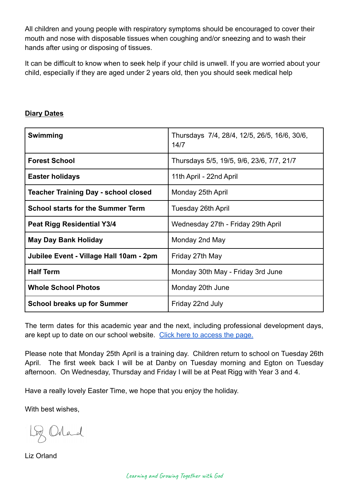All children and young people with respiratory symptoms should be encouraged to cover their mouth and nose with disposable tissues when coughing and/or sneezing and to wash their hands after using or disposing of tissues.

It can be difficult to know when to seek help if your child is unwell. If you are worried about your child, especially if they are aged under 2 years old, then you should seek medical help

| Swimming                                    | Thursdays 7/4, 28/4, 12/5, 26/5, 16/6, 30/6,<br>14/7 |
|---------------------------------------------|------------------------------------------------------|
| <b>Forest School</b>                        | Thursdays 5/5, 19/5, 9/6, 23/6, 7/7, 21/7            |
| <b>Easter holidays</b>                      | 11th April - 22nd April                              |
| <b>Teacher Training Day - school closed</b> | Monday 25th April                                    |
| <b>School starts for the Summer Term</b>    | Tuesday 26th April                                   |
| <b>Peat Rigg Residential Y3/4</b>           | Wednesday 27th - Friday 29th April                   |
| <b>May Day Bank Holiday</b>                 | Monday 2nd May                                       |
| Jubilee Event - Village Hall 10am - 2pm     | Friday 27th May                                      |
| <b>Half Term</b>                            | Monday 30th May - Friday 3rd June                    |
| <b>Whole School Photos</b>                  | Monday 20th June                                     |
| <b>School breaks up for Summer</b>          | Friday 22nd July                                     |

## **Diary Dates**

The term dates for this academic year and the next, including professional development days, are kept up to date on our school website. Click [here to access the page.](https://www.danbyceprimary.co.uk/information-and-newsletters/term-dates/)

Please note that Monday 25th April is a training day. Children return to school on Tuesday 26th April. The first week back I will be at Danby on Tuesday morning and Egton on Tuesday afternoon. On Wednesday, Thursday and Friday I will be at Peat Rigg with Year 3 and 4.

Have a really lovely Easter Time, we hope that you enjoy the holiday.

With best wishes,

Lg Orland

Liz Orland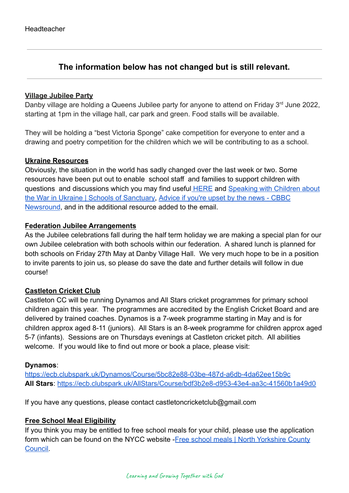# **The information below has not changed but is still relevant.**

#### **Village Jubilee Party**

Danby village are holding a Queens Jubilee party for anyone to attend on Friday 3<sup>rd</sup> June 2022, starting at 1pm in the village hall, car park and green. Food stalls will be available.

They will be holding a "best Victoria Sponge" cake competition for everyone to enter and a drawing and poetry competition for the children which we will be contributing to as a school.

#### **Ukraine Resources**

Obviously, the situation in the world has sadly changed over the last week or two. Some resources have been put out to enable school staff and families to support children with questions and discussions which you may find useful [HERE](https://educationhub.blog.gov.uk/2022/02/25/help-for-teachers-and-families-to-talk-to-pupils-about-russias-invasion-of-ukraine-and-how-to-help-them-avoid-misinformation/) and [Speaking with Children about](https://schools.cityofsanctuary.org/2022/02/28/speaking-with-children-about-the-war-in-ukraine) [the War in Ukraine | Schools of Sanctuary,](https://schools.cityofsanctuary.org/2022/02/28/speaking-with-children-about-the-war-in-ukraine) Advice [if you're upset by the news - CBBC](https://www.bbc.co.uk/newsround/13865002) [Newsround](https://www.bbc.co.uk/newsround/13865002), and in the additional resource added to the email.

#### **Federation Jubilee Arrangements**

As the Jubilee celebrations fall during the half term holiday we are making a special plan for our own Jubilee celebration with both schools within our federation. A shared lunch is planned for both schools on Friday 27th May at Danby Village Hall. We very much hope to be in a position to invite parents to join us, so please do save the date and further details will follow in due course!

# **Castleton Cricket Club**

Castleton CC will be running Dynamos and All Stars cricket programmes for primary school children again this year. The programmes are accredited by the English Cricket Board and are delivered by trained coaches. Dynamos is a 7-week programme starting in May and is for children approx aged 8-11 (juniors). All Stars is an 8-week programme for children approx aged 5-7 (infants). Sessions are on Thursdays evenings at Castleton cricket pitch. All abilities welcome. If you would like to find out more or book a place, please visit:

#### **Dynamos**:

<https://ecb.clubspark.uk/Dynamos/Course/5bc82e88-03be-487d-a6db-4da62ee15b9c> **All Stars**: <https://ecb.clubspark.uk/AllStars/Course/bdf3b2e8-d953-43e4-aa3c-41560b1a49d0>

If you have any questions, please contact castletoncricketclub@gmail.com

# **Free School Meal Eligibility**

If you think you may be entitled to free school meals for your child, please use the application form which can be found on the NYCC website - Free [school meals | North Yorkshire County](https://www.northyorks.gov.uk/free-school-meals) [Council.](https://www.northyorks.gov.uk/free-school-meals)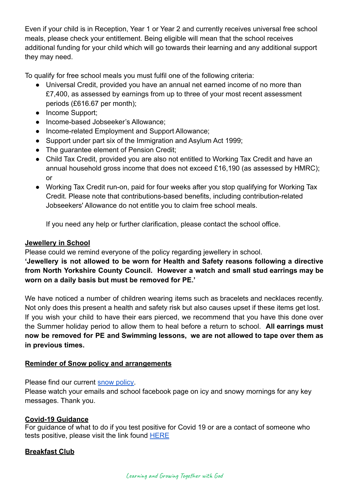Even if your child is in Reception, Year 1 or Year 2 and currently receives universal free school meals, please check your entitlement. Being eligible will mean that the school receives additional funding for your child which will go towards their learning and any additional support they may need.

To qualify for free school meals you must fulfil one of the following criteria:

- Universal Credit, provided you have an annual net earned income of no more than £7,400, as assessed by earnings from up to three of your most recent assessment periods (£616.67 per month);
- Income Support;
- Income-based Jobseeker's Allowance;
- Income-related Employment and Support Allowance;
- Support under part six of the Immigration and Asylum Act 1999;
- The guarantee element of Pension Credit;
- Child Tax Credit, provided you are also not entitled to Working Tax Credit and have an annual household gross income that does not exceed £16,190 (as assessed by HMRC); or
- Working Tax Credit run-on, paid for four weeks after you stop qualifying for Working Tax Credit. Please note that contributions-based benefits, including contribution-related Jobseekers' Allowance do not entitle you to claim free school meals.

If you need any help or further clarification, please contact the school office.

## **Jewellery in School**

Please could we remind everyone of the policy regarding jewellery in school.

**'Jewellery is not allowed to be worn for Health and Safety reasons following a directive from North Yorkshire County Council. However a watch and small stud earrings may be worn on a daily basis but must be removed for PE.'**

We have noticed a number of children wearing items such as bracelets and necklaces recently. Not only does this present a health and safety risk but also causes upset if these items get lost. If you wish your child to have their ears pierced, we recommend that you have this done over the Summer holiday period to allow them to heal before a return to school. **All earrings must now be removed for PE and Swimming lessons, we are not allowed to tape over them as in previous times.**

# **Reminder of Snow policy and arrangements**

Please find our current [snow policy.](https://drive.google.com/file/d/1PQF-KS64Fiqqa-jJlT9mfUV8MedCZC4v/view?usp=sharing)

Please watch your emails and school facebook page on icy and snowy mornings for any key messages. Thank you.

# **Covid-19 Guidance**

For guidance of what to do if you test positive for Covid 19 or are a contact of someone who tests positive, please visit the link found [HERE](https://www.gov.uk/government/publications/covid-19-people-with-covid-19-and-their-contacts/covid-19-people-with-covid-19-and-their-contacts)

# **Breakfast Club**